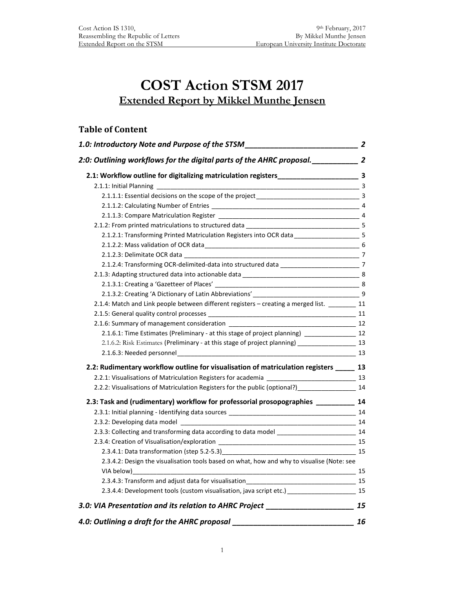# **COST Action STSM 2017 Extended Report by Mikkel Munthe Jensen**

## **Table of Content**

| 2:0: Outlining workflows for the digital parts of the AHRC proposal. ____________ 2                   |    |
|-------------------------------------------------------------------------------------------------------|----|
|                                                                                                       |    |
|                                                                                                       |    |
|                                                                                                       |    |
|                                                                                                       |    |
|                                                                                                       |    |
|                                                                                                       |    |
| 2.1.2.1: Transforming Printed Matriculation Registers into OCR data ______________________5           |    |
|                                                                                                       |    |
|                                                                                                       |    |
| 2.1.2.4: Transforming OCR-delimited-data into structured data _______________________________7        |    |
|                                                                                                       |    |
|                                                                                                       |    |
|                                                                                                       |    |
| 2.1.4: Match and Link people between different registers - creating a merged list. ________ 11        |    |
|                                                                                                       |    |
|                                                                                                       |    |
| 2.1.6.1: Time Estimates (Preliminary - at this stage of project planning) ________________ 12         |    |
| 2.1.6.2: Risk Estimates (Preliminary - at this stage of project planning) ________________________ 13 |    |
|                                                                                                       |    |
| 2.2: Rudimentary workflow outline for visualisation of matriculation registers _____ 13               |    |
|                                                                                                       |    |
| 2.2.2: Visualisations of Matriculation Registers for the public (optional?) [14] 14                   |    |
| 2.3: Task and (rudimentary) workflow for professorial prosopographies __________ 14                   |    |
|                                                                                                       |    |
|                                                                                                       |    |
|                                                                                                       |    |
|                                                                                                       |    |
|                                                                                                       |    |
| 2.3.4.2: Design the visualisation tools based on what, how and why to visualise (Note: see            |    |
|                                                                                                       |    |
|                                                                                                       |    |
| 2.3.4.4: Development tools (custom visualisation, java script etc.) _________________________ 15      |    |
| 3.0: VIA Presentation and its relation to AHRC Project _________________________ 15                   |    |
|                                                                                                       |    |
| 4.0: Outlining a draft for the AHRC proposal                                                          | 16 |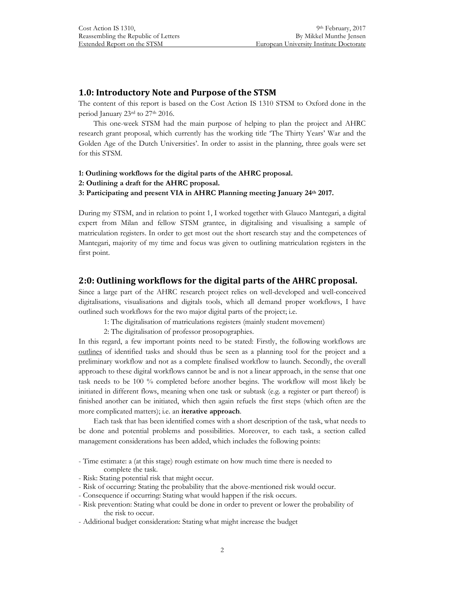## **1.0: Introductory Note and Purpose of the STSM**

The content of this report is based on the Cost Action IS 1310 STSM to Oxford done in the period January 23rd to 27th 2016.

This one-week STSM had the main purpose of helping to plan the project and AHRC research grant proposal, which currently has the working title 'The Thirty Years' War and the Golden Age of the Dutch Universities'. In order to assist in the planning, three goals were set for this STSM.

**1: Outlining workflows for the digital parts of the AHRC proposal.** 

**2: Outlining a draft for the AHRC proposal.** 

**3: Participating and present VIA in AHRC Planning meeting January 24th 2017.** 

During my STSM, and in relation to point 1, I worked together with Glauco Mantegari, a digital expert from Milan and fellow STSM grantee, in digitalising and visualising a sample of matriculation registers. In order to get most out the short research stay and the competences of Mantegari, majority of my time and focus was given to outlining matriculation registers in the first point.

#### **2:0: Outlining workflows for the digital parts of the AHRC proposal.**

Since a large part of the AHRC research project relies on well-developed and well-conceived digitalisations, visualisations and digitals tools, which all demand proper workflows, I have outlined such workflows for the two major digital parts of the project; i.e.

- 1: The digitalisation of matriculations registers (mainly student movement)
- 2: The digitalisation of professor prosopographies.

In this regard, a few important points need to be stated: Firstly, the following workflows are outlines of identified tasks and should thus be seen as a planning tool for the project and a preliminary workflow and not as a complete finalised workflow to launch. Secondly, the overall approach to these digital workflows cannot be and is not a linear approach, in the sense that one task needs to be 100 % completed before another begins. The workflow will most likely be initiated in different flows, meaning when one task or subtask (e.g. a register or part thereof) is finished another can be initiated, which then again refuels the first steps (which often are the more complicated matters); i.e. an **iterative approach**.

Each task that has been identified comes with a short description of the task, what needs to be done and potential problems and possibilities. Moreover, to each task, a section called management considerations has been added, which includes the following points:

- Time estimate: a (at this stage) rough estimate on how much time there is needed to complete the task.
- Risk: Stating potential risk that might occur.
- Risk of occurring: Stating the probability that the above-mentioned risk would occur.
- Consequence if occurring: Stating what would happen if the risk occurs.
- Risk prevention: Stating what could be done in order to prevent or lower the probability of the risk to occur.
- Additional budget consideration: Stating what might increase the budget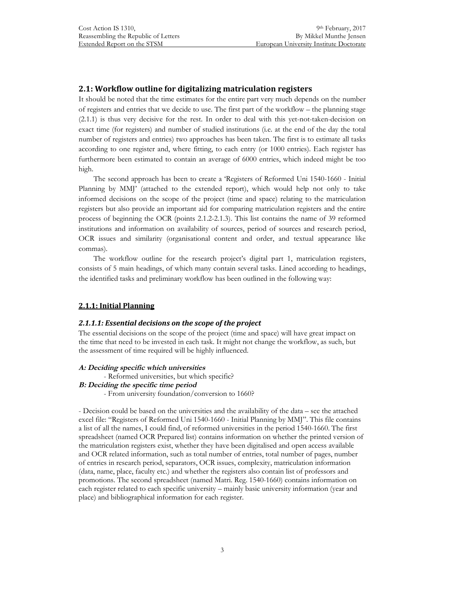## **2.1: Workflow outline for digitalizing matriculation registers**

It should be noted that the time estimates for the entire part very much depends on the number of registers and entries that we decide to use. The first part of the workflow – the planning stage (2.1.1) is thus very decisive for the rest. In order to deal with this yet-not-taken-decision on exact time (for registers) and number of studied institutions (i.e. at the end of the day the total number of registers and entries) two approaches has been taken. The first is to estimate all tasks according to one register and, where fitting, to each entry (or 1000 entries). Each register has furthermore been estimated to contain an average of 6000 entries, which indeed might be too high.

The second approach has been to create a 'Registers of Reformed Uni 1540-1660 - Initial Planning by MMJ' (attached to the extended report), which would help not only to take informed decisions on the scope of the project (time and space) relating to the matriculation registers but also provide an important aid for comparing matriculation registers and the entire process of beginning the OCR (points 2.1.2-2.1.3). This list contains the name of 39 reformed institutions and information on availability of sources, period of sources and research period, OCR issues and similarity (organisational content and order, and textual appearance like commas).

The workflow outline for the research project's digital part 1, matriculation registers, consists of 5 main headings, of which many contain several tasks. Lined according to headings, the identified tasks and preliminary workflow has been outlined in the following way:

## **2.1.1: Initial Planning**

#### *2.1.1.1: Essential decisions on the scope of the project*

The essential decisions on the scope of the project (time and space) will have great impact on the time that need to be invested in each task. It might not change the workflow, as such, but the assessment of time required will be highly influenced.

#### **A: Deciding specific which universities**

- Reformed universities, but which specific?

#### **B: Deciding the specific time period**

- From university foundation/conversion to 1660?

- Decision could be based on the universities and the availability of the data – see the attached excel file: "Registers of Reformed Uni 1540-1660 - Initial Planning by MMJ". This file contains a list of all the names, I could find, of reformed universities in the period 1540-1660. The first spreadsheet (named OCR Prepared list) contains information on whether the printed version of the matriculation registers exist, whether they have been digitalised and open access available and OCR related information, such as total number of entries, total number of pages, number of entries in research period, separators, OCR issues, complexity, matriculation information (data, name, place, faculty etc.) and whether the registers also contain list of professors and promotions. The second spreadsheet (named Matri. Reg. 1540-1660) contains information on each register related to each specific university – mainly basic university information (year and place) and bibliographical information for each register.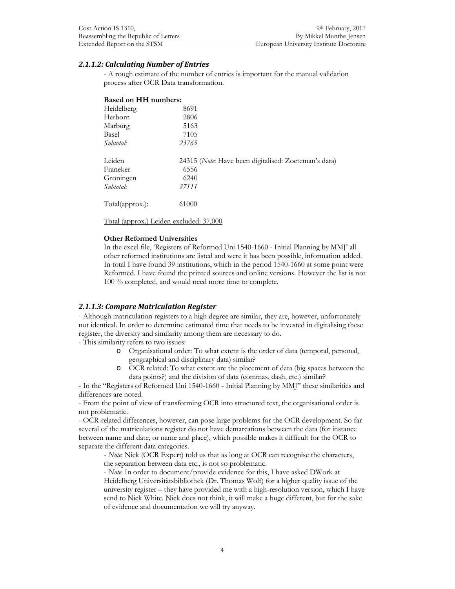## *2.1.1.2: Calculating Number of Entries*

- A rough estimate of the number of entries is important for the manual validation process after OCR Data transformation.

#### **Based on HH numbers:**

| Heidelberg      | 8691                                                          |
|-----------------|---------------------------------------------------------------|
| Herborn         | 2806                                                          |
| Marburg         | 5163                                                          |
| Basel           | 7105                                                          |
| Subtotal:       | 23765                                                         |
| Leiden          | 24315 ( <i>Note</i> : Have been digitalised: Zoeteman's data) |
| Franeker        | 6556                                                          |
| Groningen       | 6240                                                          |
| Subtotal:       | 37111                                                         |
| Total(approx.): | 61000                                                         |

Total (approx.) Leiden excluded: 37,000

#### **Other Reformed Universities**

In the excel file, 'Registers of Reformed Uni 1540-1660 - Initial Planning by MMJ' all other reformed institutions are listed and were it has been possible, information added. In total I have found 39 institutions, which in the period 1540-1660 at some point were Reformed. I have found the printed sources and online versions. However the list is not 100 % completed, and would need more time to complete.

## *2.1.1.3: Compare Matriculation Register*

- Although matriculation registers to a high degree are similar, they are, however, unfortunately not identical. In order to determine estimated time that needs to be invested in digitalising these register, the diversity and similarity among them are necessary to do.

- This similarity refers to two issues:

- o Organisational order: To what extent is the order of data (temporal, personal, geographical and disciplinary data) similar?
- o OCR related: To what extent are the placement of data (big spaces between the data points?) and the division of data (commas, dash, etc.) similar?

- In the "Registers of Reformed Uni 1540-1660 - Initial Planning by MMJ" these similarities and differences are noted.

- From the point of view of transforming OCR into structured text, the organisational order is not problematic.

- OCR-related differences, however, can pose large problems for the OCR development. So far several of the matriculations register do not have demarcations between the data (for instance between name and date, or name and place), which possible makes it difficult for the OCR to separate the different data categories.

- *Note*: Nick (OCR Expert) told us that as long at OCR can recognise the characters, the separation between data etc., is not so problematic.

- *Note*: In order to document/provide evidence for this, I have asked DWork at Heidelberg Universitätsbibliothek (Dr. Thomas Wolf) for a higher quality issue of the university register – they have provided me with a high-resolution version, which I have send to Nick White. Nick does not think, it will make a huge different, but for the sake of evidence and documentation we will try anyway.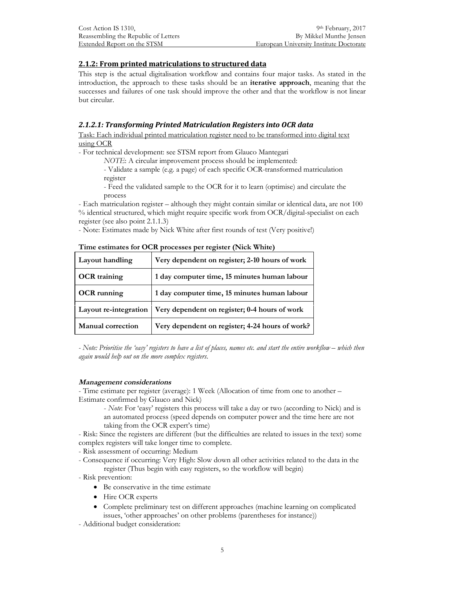## **2.1.2: From printed matriculations to structured data**

This step is the actual digitalisation workflow and contains four major tasks. As stated in the introduction, the approach to these tasks should be an **iterative approach**, meaning that the successes and failures of one task should improve the other and that the workflow is not linear but circular.

## *2.1.2.1: Transforming Printed Matriculation Registers into OCR data*

Task: Each individual printed matriculation register need to be transformed into digital text using OCR

- For technical development: see STSM report from Glauco Mantegari

*NOTE*: A circular improvement process should be implemented:

- Validate a sample (e.g. a page) of each specific OCR-transformed matriculation register

- Feed the validated sample to the OCR for it to learn (optimise) and circulate the process

- Each matriculation register – although they might contain similar or identical data, are not 100 % identical structured, which might require specific work from OCR/digital-specialist on each register (see also point 2.1.1.3)

- Note: Estimates made by Nick White after first rounds of test (Very positive!)

| Layout handling       | Very dependent on register; 2-10 hours of work  |
|-----------------------|-------------------------------------------------|
| <b>OCR</b> training   | 1 day computer time, 15 minutes human labour    |
| <b>OCR</b> running    | 1 day computer time, 15 minutes human labour    |
| Layout re-integration | Very dependent on register; 0-4 hours of work   |
| Manual correction     | Very dependent on register; 4-24 hours of work? |

**Time estimates for OCR processes per register (Nick White)** 

*- Note: Prioritise the 'easy' registers to have a list of places, names etc. and start the entire workflow – which then again would help out on the more complex registers.* 

## **Management considerations**

- Time estimate per register (average): 1 Week (Allocation of time from one to another – Estimate confirmed by Glauco and Nick)

- *Note*: For 'easy' registers this process will take a day or two (according to Nick) and is an automated process (speed depends on computer power and the time here are not taking from the OCR expert's time)

- Risk: Since the registers are different (but the difficulties are related to issues in the text) some complex registers will take longer time to complete.

- Risk assessment of occurring: Medium

- Consequence if occurring: Very High: Slow down all other activities related to the data in the register (Thus begin with easy registers, so the workflow will begin)

- Risk prevention:
	- Be conservative in the time estimate
	- Hire OCR experts
	- Complete preliminary test on different approaches (machine learning on complicated issues, 'other approaches' on other problems (parentheses for instance))

- Additional budget consideration: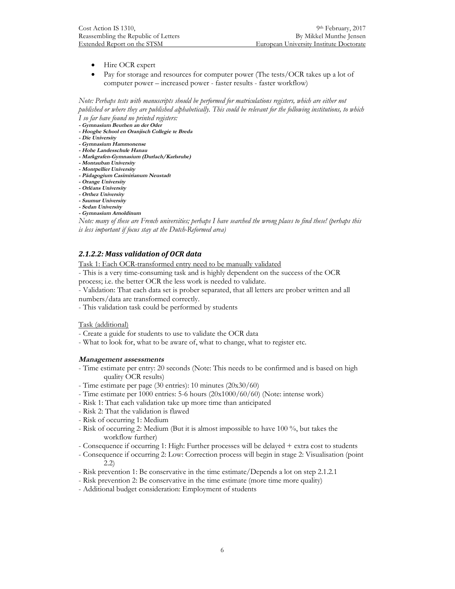- Hire OCR expert
- Pay for storage and resources for computer power (The tests/OCR takes up a lot of computer power – increased power - faster results - faster workflow)

## *Note: Perhaps tests with manuscripts should be performed for matriculations registers, which are either not published or where they are published alphabetically. This could be relevant for the following institutions, to which*

*I so far have found no printed registers:* 

**- Gymnasium Beuthen an der Oder** 

**- Hooghe School en Oranjisch Collegie te Breda** 

- **Die University - Gymnasium Hammonense**
- **Hohe Landesschule Hanau**
- **Markgrafen-Gymnasium (Durlach/Karlsruhe)**
- **Montauban University**
- **Montpellier University**
- **Pädagogium Casimirianum Neustadt**
- **Orange University**
- **Orléans University**
- **Orthez University**
- **Saumur University**
- **Sedan University**
- **Gymnasium Arnoldinum**

*Note: many of these are French universities; perhaps I have searched the wrong places to find these! (perhaps this is less important if focus stay at the Dutch-Reformed area)* 

## *2.1.2.2: Mass validation of OCR data*

Task 1: Each OCR-transformed entry need to be manually validated

- This is a very time-consuming task and is highly dependent on the success of the OCR process; i.e. the better OCR the less work is needed to validate.

- Validation: That each data set is prober separated, that all letters are prober written and all numbers/data are transformed correctly.

- This validation task could be performed by students

#### Task (additional)

- Create a guide for students to use to validate the OCR data
- What to look for, what to be aware of, what to change, what to register etc.

#### **Management assessments**

- Time estimate per entry: 20 seconds (Note: This needs to be confirmed and is based on high quality OCR results)
- Time estimate per page (30 entries): 10 minutes (20x30/60)
- Time estimate per 1000 entries:  $5-6$  hours  $(20x1000/60/60)$  (Note: intense work)
- Risk 1: That each validation take up more time than anticipated
- Risk 2: That the validation is flawed
- Risk of occurring 1: Medium
- Risk of occurring 2: Medium (But it is almost impossible to have 100 %, but takes the workflow further)
- Consequence if occurring 1: High: Further processes will be delayed + extra cost to students
- Consequence if occurring 2: Low: Correction process will begin in stage 2: Visualisation (point 2.2)
- Risk prevention 1: Be conservative in the time estimate/Depends a lot on step 2.1.2.1
- Risk prevention 2: Be conservative in the time estimate (more time more quality)
- Additional budget consideration: Employment of students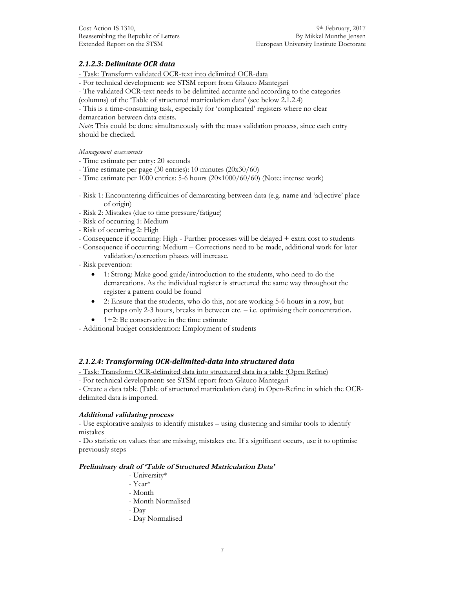## *2.1.2.3: Delimitate OCR data*

- Task: Transform validated OCR-text into delimited OCR-data

- For technical development: see STSM report from Glauco Mantegari

- The validated OCR-text needs to be delimited accurate and according to the categories

(columns) of the 'Table of structured matriculation data' (see below 2.1.2.4)

- This is a time-consuming task, especially for 'complicated' registers where no clear demarcation between data exists.

*Note*: This could be done simultaneously with the mass validation process, since each entry should be checked.

## *Management assessments*

- Time estimate per entry: 20 seconds
- Time estimate per page (30 entries): 10 minutes (20x30/60)
- Time estimate per 1000 entries: 5-6 hours (20x1000/60/60) (Note: intense work)
- Risk 1: Encountering difficulties of demarcating between data (e.g. name and 'adjective' place of origin)
- Risk 2: Mistakes (due to time pressure/fatigue)
- Risk of occurring 1: Medium
- Risk of occurring 2: High
- Consequence if occurring: High Further processes will be delayed + extra cost to students
- Consequence if occurring: Medium Corrections need to be made, additional work for later validation/correction phases will increase.
- Risk prevention:
	- 1: Strong: Make good guide/introduction to the students, who need to do the demarcations. As the individual register is structured the same way throughout the register a pattern could be found
	- 2: Ensure that the students, who do this, not are working 5-6 hours in a row, but perhaps only 2-3 hours, breaks in between etc. – i.e. optimising their concentration.
	- 1+2: Be conservative in the time estimate
- Additional budget consideration: Employment of students

## *2.1.2.4: Transforming OCR-delimited-data into structured data*

- Task: Transform OCR-delimited data into structured data in a table (Open Refine)

- For technical development: see STSM report from Glauco Mantegari

- Create a data table (Table of structured matriculation data) in Open-Refine in which the OCRdelimited data is imported.

## **Additional validating process**

- Use explorative analysis to identify mistakes – using clustering and similar tools to identify mistakes

- Do statistic on values that are missing, mistakes etc. If a significant occurs, use it to optimise previously steps

## **Preliminary draft of 'Table of Structured Matriculation Data'**

- University\*
- Year\*
- Month
- Month Normalised
- Day
- Day Normalised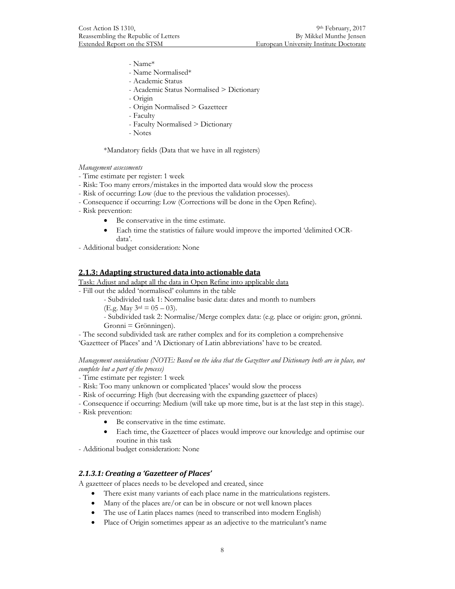- Name\*
- Name Normalised\*
- Academic Status
- Academic Status Normalised > Dictionary
- Origin
- Origin Normalised > Gazetteer
- Faculty
- Faculty Normalised > Dictionary
- Notes

#### \*Mandatory fields (Data that we have in all registers)

#### *Management assessments*

- Time estimate per register: 1 week
- Risk: Too many errors/mistakes in the imported data would slow the process
- Risk of occurring: Low (due to the previous the validation processes).
- Consequence if occurring: Low (Corrections will be done in the Open Refine).
- Risk prevention:
	- Be conservative in the time estimate.
	- Each time the statistics of failure would improve the imported 'delimited OCRdata'.
- Additional budget consideration: None

## **2.1.3: Adapting structured data into actionable data**

Task: Adjust and adapt all the data in Open Refine into applicable data

- Fill out the added 'normalised' columns in the table
	- Subdivided task 1: Normalise basic data: dates and month to numbers
	- $(E.g. May 3<sup>rd</sup> = 05 03).$
	- Subdivided task 2: Normalise/Merge complex data: (e.g. place or origin: gron, grönni. Gronni = Grönningen).
- The second subdivided task are rather complex and for its completion a comprehensive
- 'Gazetteer of Places' and 'A Dictionary of Latin abbreviations' have to be created.

*Management considerations (NOTE: Based on the idea that the Gazetteer and Dictionary both are in place, not complete but a part of the process)* 

- Time estimate per register: 1 week
- Risk: Too many unknown or complicated 'places' would slow the process
- Risk of occurring: High (but decreasing with the expanding gazetteer of places)
- Consequence if occurring: Medium (will take up more time, but is at the last step in this stage).
- Risk prevention:
	- Be conservative in the time estimate.
	- Each time, the Gazetteer of places would improve our knowledge and optimise our routine in this task
- Additional budget consideration: None

## *2.1.3.1: Creating a 'Gazetteer of Places'*

A gazetteer of places needs to be developed and created, since

- There exist many variants of each place name in the matriculations registers.
- Many of the places are/or can be in obscure or not well known places
- The use of Latin places names (need to transcribed into modern English)
- Place of Origin sometimes appear as an adjective to the matriculant's name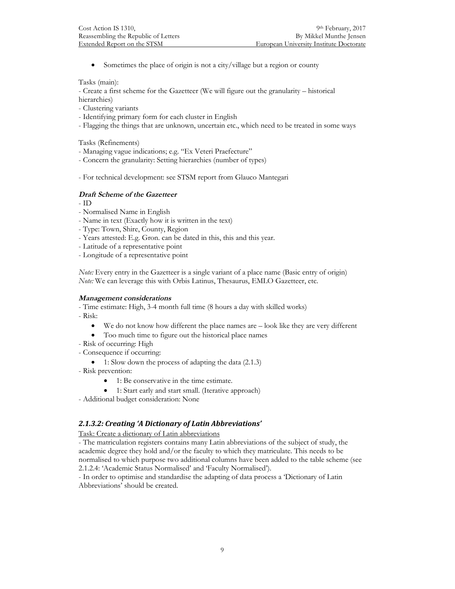Sometimes the place of origin is not a city/village but a region or county

Tasks (main):

- Create a first scheme for the Gazetteer (We will figure out the granularity – historical hierarchies)

- Clustering variants

- Identifying primary form for each cluster in English
- Flagging the things that are unknown, uncertain etc., which need to be treated in some ways

Tasks (Refinements)

- Managing vague indications; e.g. "Ex Veteri Praefecture"
- Concern the granularity: Setting hierarchies (number of types)

- For technical development: see STSM report from Glauco Mantegari

## **Draft Scheme of the Gazetteer**

- ID
- Normalised Name in English
- Name in text (Exactly how it is written in the text)
- Type: Town, Shire, County, Region
- Years attested: E.g. Gron. can be dated in this, this and this year.
- Latitude of a representative point
- Longitude of a representative point

*Note:* Every entry in the Gazetteer is a single variant of a place name (Basic entry of origin) *Note:* We can leverage this with Orbis Latinus, Thesaurus, EMLO Gazetteer, etc.

#### **Management considerations**

- Time estimate: High, 3-4 month full time (8 hours a day with skilled works)

- Risk:
	- We do not know how different the place names are  $-$  look like they are very different
	- Too much time to figure out the historical place names
- Risk of occurring: High
- Consequence if occurring:
	- 1: Slow down the process of adapting the data (2.1.3)
- Risk prevention:
	- 1: Be conservative in the time estimate.
	- 1: Start early and start small. (Iterative approach)
- Additional budget consideration: None

## *2.1.3.2: Creating 'A Dictionary of Latin Abbreviations'*

Task: Create a dictionary of Latin abbreviations

- The matriculation registers contains many Latin abbreviations of the subject of study, the academic degree they hold and/or the faculty to which they matriculate. This needs to be normalised to which purpose two additional columns have been added to the table scheme (see 2.1.2.4: 'Academic Status Normalised' and 'Faculty Normalised').

- In order to optimise and standardise the adapting of data process a 'Dictionary of Latin Abbreviations' should be created.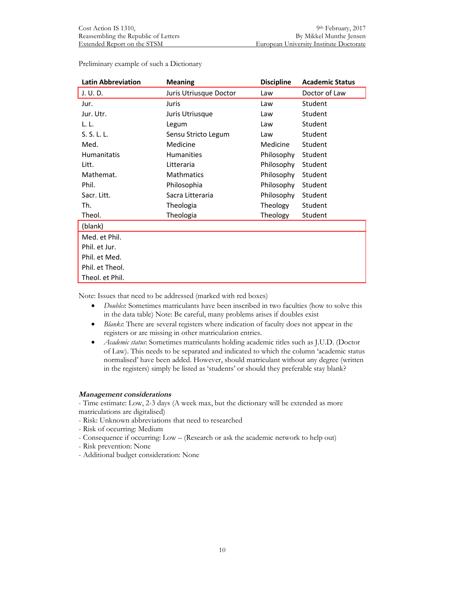| <b>Latin Abbreviation</b> | <b>Meaning</b>         | <b>Discipline</b> | <b>Academic Status</b> |
|---------------------------|------------------------|-------------------|------------------------|
| J. U. D.                  | Juris Utriusque Doctor | Law               | Doctor of Law          |
| Jur.                      | Juris                  | Law               | Student                |
| Jur. Utr.                 | Juris Utriusque        | Law               | Student                |
| L. L.                     | Legum                  | Law               | Student                |
| S. S. L. L.               | Sensu Stricto Legum    | Law               | Student                |
| Med.                      | Medicine               | Medicine          | Student                |
| <b>Humanitatis</b>        | <b>Humanities</b>      | Philosophy        | Student                |
| Litt.                     | Litteraria             | Philosophy        | Student                |
| Mathemat.                 | <b>Mathmatics</b>      | Philosophy        | Student                |
| Phil.                     | Philosophia            | Philosophy        | Student                |
| Sacr. Litt.               | Sacra Litteraria       | Philosophy        | Student                |
| Th.                       | Theologia              | Theology          | Student                |
| Theol.                    | Theologia              | Theology          | Student                |
| (blank)                   |                        |                   |                        |
| Med. et Phil.             |                        |                   |                        |
| Phil. et Jur.             |                        |                   |                        |
| Phil. et Med.             |                        |                   |                        |
| Phil. et Theol.           |                        |                   |                        |
| Theol. et Phil.           |                        |                   |                        |

Preliminary example of such a Dictionary

Note: Issues that need to be addressed (marked with red boxes)

- *Doubles*: Sometimes matriculants have been inscribed in two faculties (how to solve this in the data table) Note: Be careful, many problems arises if doubles exist
- *Blanks*: There are several registers where indication of faculty does not appear in the registers or are missing in other matriculation entries.
- *Academic status*: Sometimes matriculants holding academic titles such as J.U.D. (Doctor of Law). This needs to be separated and indicated to which the column 'academic status normalised' have been added. However, should matriculant without any degree (written in the registers) simply be listed as 'students' or should they preferable stay blank?

#### **Management considerations**

- Time estimate: Low, 2-3 days (A week max, but the dictionary will be extended as more matriculations are digitalised)

- Risk: Unknown abbreviations that need to researched
- Risk of occurring: Medium
- Consequence if occurring: Low (Research or ask the academic network to help out)
- Risk prevention: None
- Additional budget consideration: None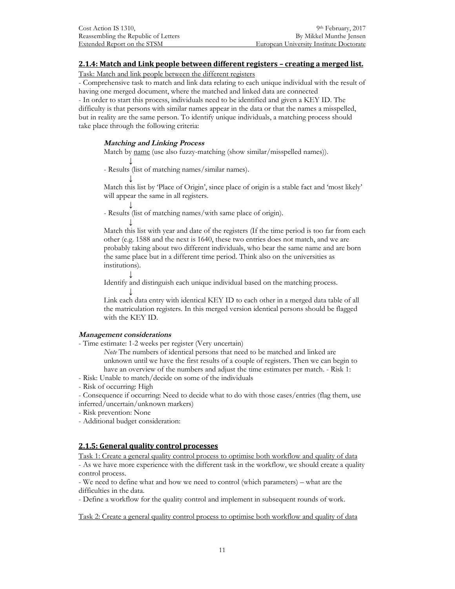## **2.1.4: Match and Link people between different registers – creating a merged list.**

Task: Match and link people between the different registers

- Comprehensive task to match and link data relating to each unique individual with the result of having one merged document, where the matched and linked data are connected - In order to start this process, individuals need to be identified and given a KEY ID. The difficulty is that persons with similar names appear in the data or that the names a misspelled, but in reality are the same person. To identify unique individuals, a matching process should take place through the following criteria:

## **Matching and Linking Process**

Match by name (use also fuzzy-matching (show similar/misspelled names)).

↓ - Results (list of matching names/similar names).

↓ Match this list by 'Place of Origin', since place of origin is a stable fact and 'most likely' will appear the same in all registers.

↓ - Results (list of matching names/with same place of origin).

↓ Match this list with year and date of the registers (If the time period is too far from each other (e.g. 1588 and the next is 1640, these two entries does not match, and we are probably taking about two different individuals, who bear the same name and are born the same place but in a different time period. Think also on the universities as institutions).

↓ Identify and distinguish each unique individual based on the matching process.

↓ Link each data entry with identical KEY ID to each other in a merged data table of all the matriculation registers. In this merged version identical persons should be flagged with the KEY ID.

## **Management considerations**

- Time estimate: 1-2 weeks per register (Very uncertain)

*Note* The numbers of identical persons that need to be matched and linked are unknown until we have the first results of a couple of registers. Then we can begin to have an overview of the numbers and adjust the time estimates per match. - Risk 1:

- Risk: Unable to match/decide on some of the individuals

- Risk of occurring: High

- Consequence if occurring: Need to decide what to do with those cases/entries (flag them, use inferred/uncertain/unknown markers)

- Risk prevention: None

- Additional budget consideration:

## **2.1.5: General quality control processes**

Task 1: Create a general quality control process to optimise both workflow and quality of data - As we have more experience with the different task in the workflow, we should create a quality control process.

- We need to define what and how we need to control (which parameters) – what are the difficulties in the data.

- Define a workflow for the quality control and implement in subsequent rounds of work.

Task 2: Create a general quality control process to optimise both workflow and quality of data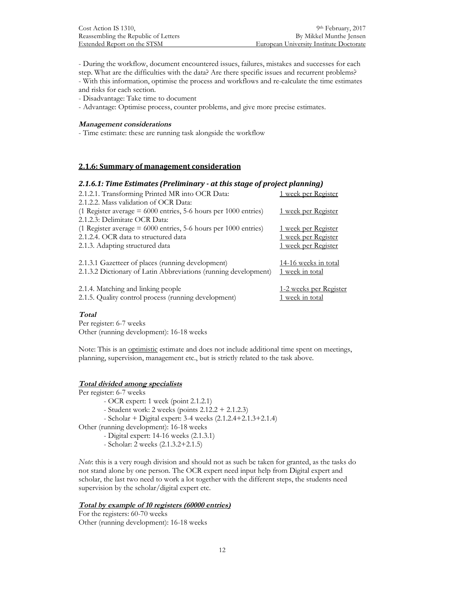- During the workflow, document encountered issues, failures, mistakes and successes for each step. What are the difficulties with the data? Are there specific issues and recurrent problems? - With this information, optimise the process and workflows and re-calculate the time estimates and risks for each section.

- Disadvantage: Take time to document
- Advantage: Optimise process, counter problems, and give more precise estimates.

#### **Management considerations**

- Time estimate: these are running task alongside the workflow

## **2.1.6: Summary of management consideration**

## *2.1.6.1: Time Estimates (Preliminary - at this stage of project planning)*

| 2.1.2.1. Transforming Printed MR into OCR Data:                   | 1 week per Register        |
|-------------------------------------------------------------------|----------------------------|
| 2.1.2.2. Mass validation of OCR Data:                             |                            |
| $(1$ Register average = 6000 entries, 5-6 hours per 1000 entries) | <u>1 week per Register</u> |
| 2.1.2.3: Delimitate OCR Data:                                     |                            |
| $(1$ Register average = 6000 entries, 5-6 hours per 1000 entries) | <u>1 week per Register</u> |
| 2.1.2.4. OCR data to structured data                              | 1 week per Register        |
| 2.1.3. Adapting structured data                                   | 1 week per Register        |
| 2.1.3.1 Gazetteer of places (running development)                 | 14-16 weeks in total       |
| 2.1.3.2 Dictionary of Latin Abbreviations (running development)   | 1 week in total            |
| 2.1.4. Matching and linking people                                | 1-2 weeks per Register     |
| 2.1.5. Quality control process (running development)              | 1 week in total            |

## **Total**

Per register: 6-7 weeks Other (running development): 16-18 weeks

Note: This is an optimistic estimate and does not include additional time spent on meetings, planning, supervision, management etc., but is strictly related to the task above.

## **Total divided among specialists**

Per register: 6-7 weeks

- OCR expert: 1 week (point 2.1.2.1)
- Student work: 2 weeks (points 2.12.2 + 2.1.2.3)
- Scholar + Digital expert: 3-4 weeks (2.1.2.4+2.1.3+2.1.4)
- Other (running development): 16-18 weeks
	- Digital expert: 14-16 weeks (2.1.3.1)
	- Scholar: 2 weeks (2.1.3.2+2.1.5)

*Note*: this is a very rough division and should not as such be taken for granted, as the tasks do not stand alone by one person. The OCR expert need input help from Digital expert and scholar, the last two need to work a lot together with the different steps, the students need supervision by the scholar/digital expert etc.

## **Total by example of 10 registers (60000 entries)**

For the registers: 60-70 weeks Other (running development): 16-18 weeks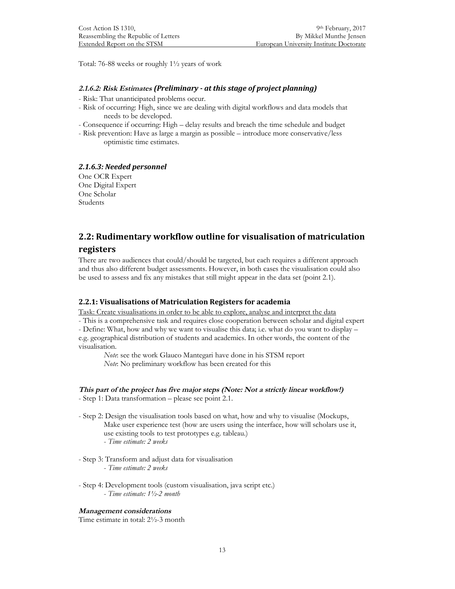Total: 76-88 weeks or roughly 1½ years of work

#### **2.1.6.2: Risk Estimates** *(Preliminary - at this stage of project planning)*

- Risk: That unanticipated problems occur.
- Risk of occurring: High, since we are dealing with digital workflows and data models that needs to be developed.
- Consequence if occurring: High delay results and breach the time schedule and budget
- Risk prevention: Have as large a margin as possible introduce more conservative/less optimistic time estimates.

#### *2.1.6.3: Needed personnel*

One OCR Expert One Digital Expert One Scholar Students

## **2.2: Rudimentary workflow outline for visualisation of matriculation registers**

There are two audiences that could/should be targeted, but each requires a different approach and thus also different budget assessments. However, in both cases the visualisation could also be used to assess and fix any mistakes that still might appear in the data set (point 2.1).

#### **2.2.1: Visualisations of Matriculation Registers for academia**

Task: Create visualisations in order to be able to explore, analyse and interpret the data

- This is a comprehensive task and requires close cooperation between scholar and digital expert

- Define: What, how and why we want to visualise this data; i.e. what do you want to display – e.g. geographical distribution of students and academics. In other words, the content of the visualisation.

*Note*: see the work Glauco Mantegari have done in his STSM report *Note*: No preliminary workflow has been created for this

## **This part of the project has five major steps (Note: Not a strictly linear workflow!)**

- Step 1: Data transformation – please see point 2.1.

- Step 2: Design the visualisation tools based on what, how and why to visualise (Mockups, Make user experience test (how are users using the interface, how will scholars use it, use existing tools to test prototypes e.g. tableau.) - *Time estimate: 2 weeks* 
	-
- Step 3: Transform and adjust data for visualisation

- *Time estimate: 2 weeks* 

- Step 4: Development tools (custom visualisation, java script etc.) - *Time estimate: 1½-2 month* 

#### **Management considerations**

Time estimate in total: 2½-3 month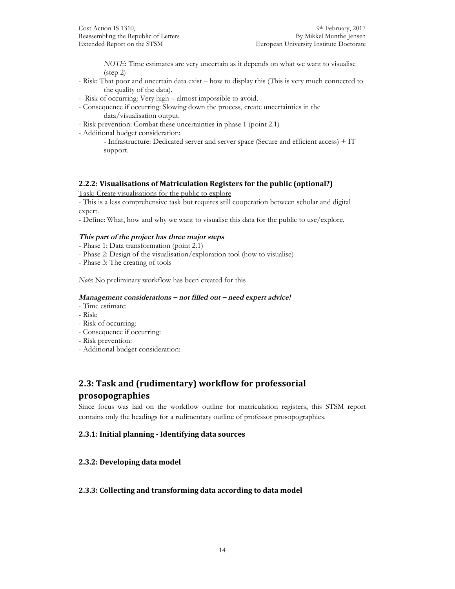*NOTE*: Time estimates are very uncertain as it depends on what we want to visualise (step 2)

- Risk: That poor and uncertain data exist how to display this (This is very much connected to the quality of the data).
- Risk of occurring: Very high almost impossible to avoid.
- Consequence if occurring: Slowing down the process, create uncertainties in the data/visualisation output.
- Risk prevention: Combat these uncertainties in phase 1 (point 2.1)
- Additional budget consideration:
	- Infrastructure: Dedicated server and server space (Secure and efficient access) + IT support.

## **2.2.2: Visualisations of Matriculation Registers for the public (optional?)**

Task: Create visualisations for the public to explore

- This is a less comprehensive task but requires still cooperation between scholar and digital expert.

- Define: What, how and why we want to visualise this data for the public to use/explore.

## **This part of the project has three major steps**

- Phase 1: Data transformation (point 2.1)
- Phase 2: Design of the visualisation/exploration tool (how to visualise)
- Phase 3: The creating of tools

*Note*: No preliminary workflow has been created for this

#### **Management considerations – not filled out – need expert advice!**

- Time estimate:
- Risk:
- Risk of occurring:
- Consequence if occurring:
- Risk prevention:
- Additional budget consideration:

## **2.3: Task and (rudimentary) workflow for professorial prosopographies**

Since focus was laid on the workflow outline for matriculation registers, this STSM report contains only the headings for a rudimentary outline of professor prosopographies.

## **2.3.1: Initial planning - Identifying data sources**

## **2.3.2: Developing data model**

## **2.3.3: Collecting and transforming data according to data model**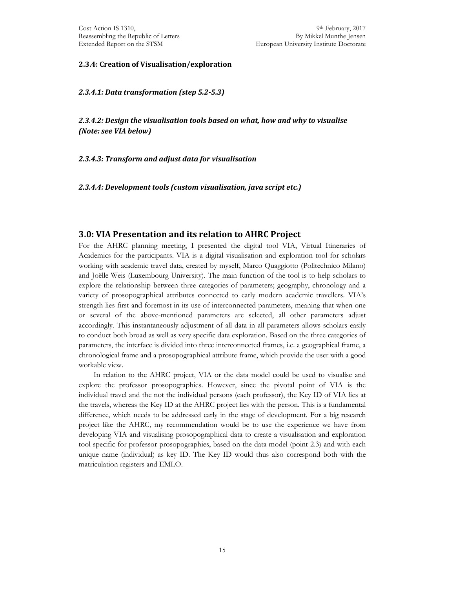#### **2.3.4: Creation of Visualisation/exploration**

*2.3.4.1: Data transformation (step 5.2-5.3)* 

*2.3.4.2: Design the visualisation tools based on what, how and why to visualise (Note: see VIA below)* 

*2.3.4.3: Transform and adjust data for visualisation* 

*2.3.4.4: Development tools (custom visualisation, java script etc.)* 

## **3.0: VIA Presentation and its relation to AHRC Project**

For the AHRC planning meeting, I presented the digital tool VIA, Virtual Itineraries of Academics for the participants. VIA is a digital visualisation and exploration tool for scholars working with academic travel data, created by myself, Marco Quaggiotto (Politechnico Milano) and Joëlle Weis (Luxembourg University). The main function of the tool is to help scholars to explore the relationship between three categories of parameters; geography, chronology and a variety of prosopographical attributes connected to early modern academic travellers. VIA's strength lies first and foremost in its use of interconnected parameters, meaning that when one or several of the above-mentioned parameters are selected, all other parameters adjust accordingly. This instantaneously adjustment of all data in all parameters allows scholars easily to conduct both broad as well as very specific data exploration. Based on the three categories of parameters, the interface is divided into three interconnected frames, i.e. a geographical frame, a chronological frame and a prosopographical attribute frame, which provide the user with a good workable view.

In relation to the AHRC project, VIA or the data model could be used to visualise and explore the professor prosopographies. However, since the pivotal point of VIA is the individual travel and the not the individual persons (each professor), the Key ID of VIA lies at the travels, whereas the Key ID at the AHRC project lies with the person. This is a fundamental difference, which needs to be addressed early in the stage of development. For a big research project like the AHRC, my recommendation would be to use the experience we have from developing VIA and visualising prosopographical data to create a visualisation and exploration tool specific for professor prosopographies, based on the data model (point 2.3) and with each unique name (individual) as key ID. The Key ID would thus also correspond both with the matriculation registers and EMLO.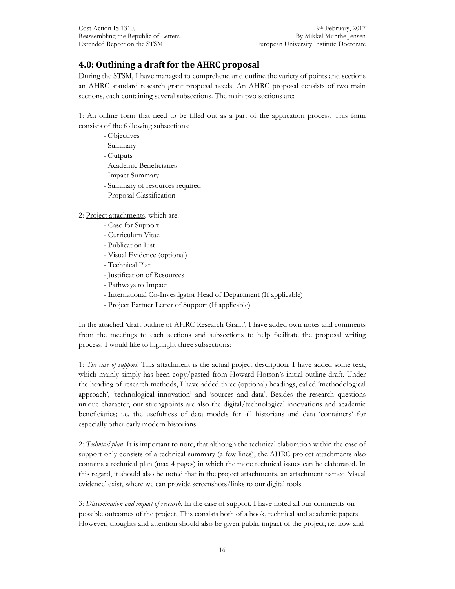## **4.0: Outlining a draft for the AHRC proposal**

During the STSM, I have managed to comprehend and outline the variety of points and sections an AHRC standard research grant proposal needs. An AHRC proposal consists of two main sections, each containing several subsections. The main two sections are:

1: An online form that need to be filled out as a part of the application process. This form consists of the following subsections:

- Objectives
- Summary
- Outputs
- Academic Beneficiaries
- Impact Summary
- Summary of resources required
- Proposal Classification

2: Project attachments, which are:

- Case for Support
- Curriculum Vitae
- Publication List
- Visual Evidence (optional)
- Technical Plan
- Justification of Resources
- Pathways to Impact
- International Co-Investigator Head of Department (If applicable)
- Project Partner Letter of Support (If applicable)

In the attached 'draft outline of AHRC Research Grant', I have added own notes and comments from the meetings to each sections and subsections to help facilitate the proposal writing process. I would like to highlight three subsections:

1: *The case of support*. This attachment is the actual project description. I have added some text, which mainly simply has been copy/pasted from Howard Hotson's initial outline draft. Under the heading of research methods, I have added three (optional) headings, called 'methodological approach', 'technological innovation' and 'sources and data'. Besides the research questions unique character, our strongpoints are also the digital/technological innovations and academic beneficiaries; i.e. the usefulness of data models for all historians and data 'containers' for especially other early modern historians.

2: *Technical plan*. It is important to note, that although the technical elaboration within the case of support only consists of a technical summary (a few lines), the AHRC project attachments also contains a technical plan (max 4 pages) in which the more technical issues can be elaborated. In this regard, it should also be noted that in the project attachments, an attachment named 'visual evidence' exist, where we can provide screenshots/links to our digital tools.

3: *Dissemination and impact of research*. In the case of support, I have noted all our comments on possible outcomes of the project. This consists both of a book, technical and academic papers. However, thoughts and attention should also be given public impact of the project; i.e. how and